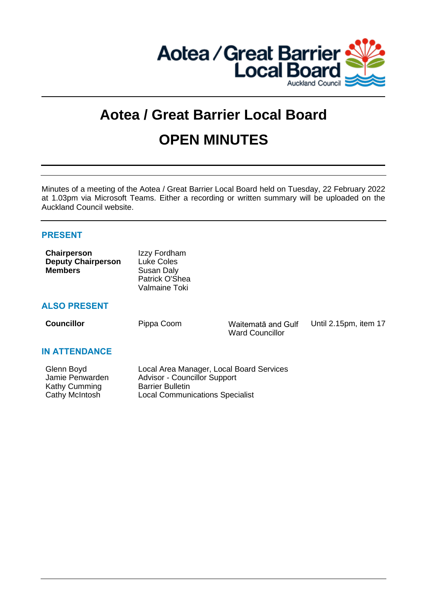

# **Aotea / Great Barrier Local Board OPEN MINUTES**

Minutes of a meeting of the Aotea / Great Barrier Local Board held on Tuesday, 22 February 2022 at 1.03pm via Microsoft Teams. Either a recording or written summary will be uploaded on the Auckland Council website.

# **PRESENT**

| <b>Chairperson</b>        | Izzy Fordham   |
|---------------------------|----------------|
| <b>Deputy Chairperson</b> | Luke Coles     |
| <b>Members</b>            | Susan Daly     |
|                           | Patrick O'Shea |
|                           | Valmaine Toki  |

# **ALSO PRESENT**

**Councillor** Pippa Coom Waitemata and Gulf Ward Councillor

Until 2.15pm, item 17

# **IN ATTENDANCE**

| Glenn Boyd      | Local Area Manager, Local Board Services |
|-----------------|------------------------------------------|
| Jamie Penwarden | <b>Advisor - Councillor Support</b>      |
| Kathy Cumming   | <b>Barrier Bulletin</b>                  |
| Cathy McIntosh  | <b>Local Communications Specialist</b>   |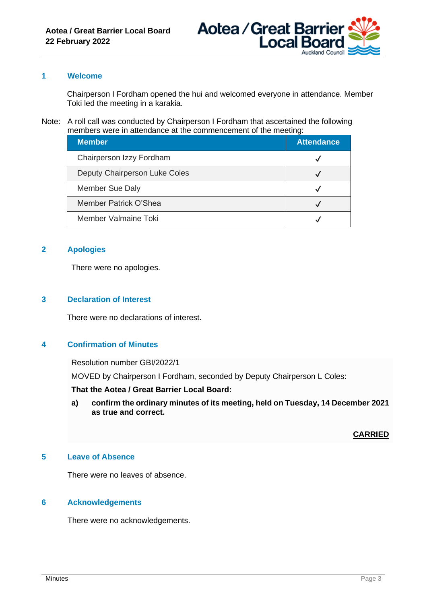

# **1 Welcome**

Chairperson I Fordham opened the hui and welcomed everyone in attendance. Member Toki led the meeting in a karakia.

#### Note: A roll call was conducted by Chairperson I Fordham that ascertained the following members were in attendance at the commencement of the meeting:

| <b>Member</b>                 | <b>Attendance</b> |
|-------------------------------|-------------------|
| Chairperson Izzy Fordham      |                   |
| Deputy Chairperson Luke Coles |                   |
| <b>Member Sue Daly</b>        |                   |
| Member Patrick O'Shea         |                   |
| Member Valmaine Toki          |                   |

# **2 Apologies**

There were no apologies.

#### **3 Declaration of Interest**

There were no declarations of interest.

# **4 Confirmation of Minutes**

Resolution number GBI/2022/1

MOVED by Chairperson I Fordham, seconded by Deputy Chairperson L Coles:

**That the Aotea / Great Barrier Local Board:**

**a) confirm the ordinary minutes of its meeting, held on Tuesday, 14 December 2021 as true and correct.**

# **CARRIED**

# **5 Leave of Absence**

There were no leaves of absence.

#### **6 Acknowledgements**

There were no acknowledgements.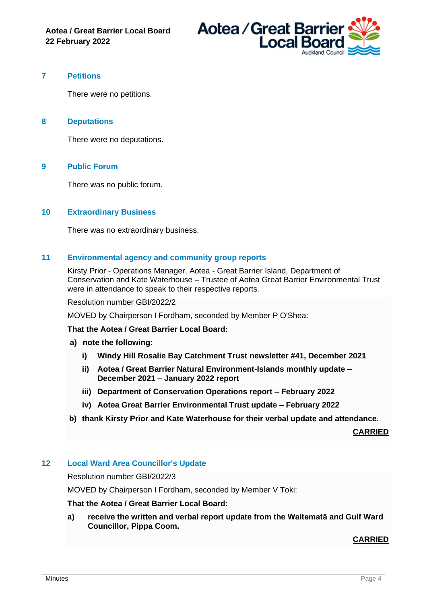

# **7 Petitions**

There were no petitions.

#### **8 Deputations**

There were no deputations.

#### **9 Public Forum**

There was no public forum.

#### **10 Extraordinary Business**

There was no extraordinary business.

#### **11 Environmental agency and community group reports**

Kirsty Prior - Operations Manager, Aotea - Great Barrier Island, Department of Conservation and Kate Waterhouse – Trustee of Aotea Great Barrier Environmental Trust were in attendance to speak to their respective reports.

#### Resolution number GBI/2022/2

MOVED by Chairperson I Fordham, seconded by Member P O'Shea:

**That the Aotea / Great Barrier Local Board:**

- **a) note the following:**
	- **i) Windy Hill Rosalie Bay Catchment Trust newsletter #41, December 2021**
	- **ii) Aotea / Great Barrier Natural Environment-Islands monthly update – December 2021 – January 2022 report**
	- **iii) Department of Conservation Operations report – February 2022**
	- **iv) Aotea Great Barrier Environmental Trust update – February 2022**
- **b) thank Kirsty Prior and Kate Waterhouse for their verbal update and attendance.**

**CARRIED**

# **12 Local Ward Area Councillor's Update**

Resolution number GBI/2022/3

MOVED by Chairperson I Fordham, seconded by Member V Toki:

# **That the Aotea / Great Barrier Local Board:**

**a) receive the written and verbal report update from the Waitematā and Gulf Ward Councillor, Pippa Coom.**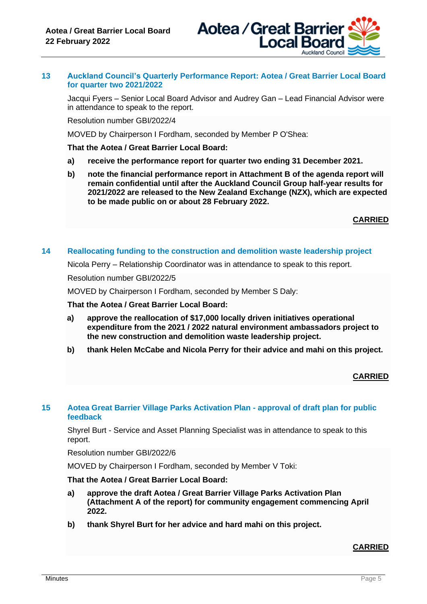

#### **13 Auckland Council's Quarterly Performance Report: Aotea / Great Barrier Local Board for quarter two 2021/2022**

Jacqui Fyers – Senior Local Board Advisor and Audrey Gan – Lead Financial Advisor were in attendance to speak to the report.

Resolution number GBI/2022/4

MOVED by Chairperson I Fordham, seconded by Member P O'Shea:

#### **That the Aotea / Great Barrier Local Board:**

- **a) receive the performance report for quarter two ending 31 December 2021.**
- **b) note the financial performance report in Attachment B of the agenda report will remain confidential until after the Auckland Council Group half-year results for 2021/2022 are released to the New Zealand Exchange (NZX), which are expected to be made public on or about 28 February 2022.**

**CARRIED**

#### **14 Reallocating funding to the construction and demolition waste leadership project**

Nicola Perry – Relationship Coordinator was in attendance to speak to this report.

Resolution number GBI/2022/5

MOVED by Chairperson I Fordham, seconded by Member S Daly:

**That the Aotea / Great Barrier Local Board:**

- **a) approve the reallocation of \$17,000 locally driven initiatives operational expenditure from the 2021 / 2022 natural environment ambassadors project to the new construction and demolition waste leadership project.**
- **b) thank Helen McCabe and Nicola Perry for their advice and mahi on this project.**

# **CARRIED**

#### **15 Aotea Great Barrier Village Parks Activation Plan - approval of draft plan for public feedback**

Shyrel Burt - Service and Asset Planning Specialist was in attendance to speak to this report.

Resolution number GBI/2022/6

MOVED by Chairperson I Fordham, seconded by Member V Toki:

#### **That the Aotea / Great Barrier Local Board:**

- **a) approve the draft Aotea / Great Barrier Village Parks Activation Plan (Attachment A of the report) for community engagement commencing April 2022.**
- **b) thank Shyrel Burt for her advice and hard mahi on this project.**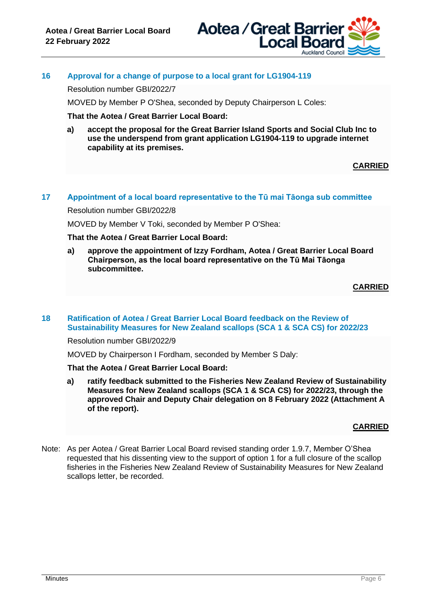

# **16 Approval for a change of purpose to a local grant for LG1904-119**

Resolution number GBI/2022/7

MOVED by Member P O'Shea, seconded by Deputy Chairperson L Coles:

**That the Aotea / Great Barrier Local Board:**

**a) accept the proposal for the Great Barrier Island Sports and Social Club Inc to use the underspend from grant application LG1904-119 to upgrade internet capability at its premises.**

**CARRIED**

# **17 Appointment of a local board representative to the Tū mai Tāonga sub committee**

Resolution number GBI/2022/8

MOVED by Member V Toki, seconded by Member P O'Shea:

**That the Aotea / Great Barrier Local Board:**

**a) approve the appointment of Izzy Fordham, Aotea / Great Barrier Local Board Chairperson, as the local board representative on the Tū Mai Tāonga subcommittee.**

#### **CARRIED**

**18 Ratification of Aotea / Great Barrier Local Board feedback on the Review of Sustainability Measures for New Zealand scallops (SCA 1 & SCA CS) for 2022/23**

Resolution number GBI/2022/9

MOVED by Chairperson I Fordham, seconded by Member S Daly:

#### **That the Aotea / Great Barrier Local Board:**

**a) ratify feedback submitted to the Fisheries New Zealand Review of Sustainability Measures for New Zealand scallops (SCA 1 & SCA CS) for 2022/23, through the approved Chair and Deputy Chair delegation on 8 February 2022 (Attachment A of the report).**

#### **CARRIED**

Note: As per Aotea / Great Barrier Local Board revised standing order 1.9.7, Member O'Shea requested that his dissenting view to the support of option 1 for a full closure of the scallop fisheries in the Fisheries New Zealand Review of Sustainability Measures for New Zealand scallops letter, be recorded.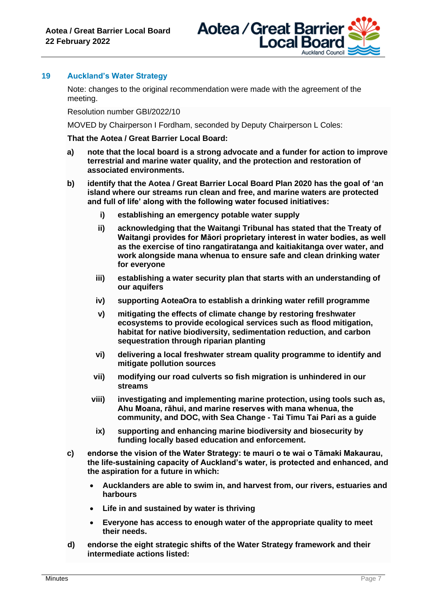

# **19 Auckland's Water Strategy**

Note: changes to the original recommendation were made with the agreement of the meeting.

Resolution number GBI/2022/10

MOVED by Chairperson I Fordham, seconded by Deputy Chairperson L Coles:

#### **That the Aotea / Great Barrier Local Board:**

- **a) note that the local board is a strong advocate and a funder for action to improve terrestrial and marine water quality, and the protection and restoration of associated environments.**
- **b) identify that the Aotea / Great Barrier Local Board Plan 2020 has the goal of 'an island where our streams run clean and free, and marine waters are protected and full of life' along with the following water focused initiatives:**
	- **i) establishing an emergency potable water supply**
	- **ii) acknowledging that the Waitangi Tribunal has stated that the Treaty of Waitangi provides for Māori proprietary interest in water bodies, as well as the exercise of tino rangatiratanga and kaitiakitanga over water, and work alongside mana whenua to ensure safe and clean drinking water for everyone**
	- **iii) establishing a water security plan that starts with an understanding of our aquifers**
	- **iv) supporting AoteaOra to establish a drinking water refill programme**
	- **v) mitigating the effects of climate change by restoring freshwater ecosystems to provide ecological services such as flood mitigation, habitat for native biodiversity, sedimentation reduction, and carbon sequestration through riparian planting**
	- **vi) delivering a local freshwater stream quality programme to identify and mitigate pollution sources**
	- **vii) modifying our road culverts so fish migration is unhindered in our streams**
	- **viii) investigating and implementing marine protection, using tools such as, Ahu Moana, rāhui, and marine reserves with mana whenua, the community, and DOC, with Sea Change - Tai Timu Tai Pari as a guide**
		- **ix) supporting and enhancing marine biodiversity and biosecurity by funding locally based education and enforcement.**
- **c) endorse the vision of the Water Strategy: te mauri o te wai o Tāmaki Makaurau, the life-sustaining capacity of Auckland's water, is protected and enhanced, and the aspiration for a future in which:** 
	- **Aucklanders are able to swim in, and harvest from, our rivers, estuaries and harbours**
	- **Life in and sustained by water is thriving**
	- **Everyone has access to enough water of the appropriate quality to meet their needs.**
- **d) endorse the eight strategic shifts of the Water Strategy framework and their intermediate actions listed:**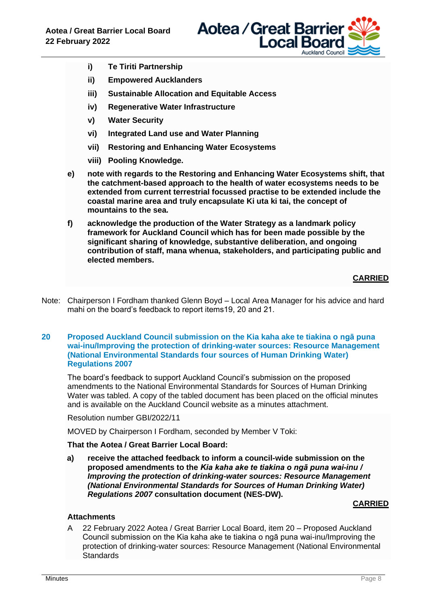

- **i) Te Tiriti Partnership**
- **ii) Empowered Aucklanders**
- **iii) Sustainable Allocation and Equitable Access**
- **iv) Regenerative Water Infrastructure**
- **v) Water Security**
- **vi) Integrated Land use and Water Planning**
- **vii) Restoring and Enhancing Water Ecosystems**
- **viii) Pooling Knowledge.**
- **e) note with regards to the Restoring and Enhancing Water Ecosystems shift, that the catchment-based approach to the health of water ecosystems needs to be extended from current terrestrial focussed practise to be extended include the coastal marine area and truly encapsulate Ki uta ki tai, the concept of mountains to the sea.**
- **f) acknowledge the production of the Water Strategy as a landmark policy framework for Auckland Council which has for been made possible by the significant sharing of knowledge, substantive deliberation, and ongoing contribution of staff, mana whenua, stakeholders, and participating public and elected members.**

# **CARRIED**

Note: Chairperson I Fordham thanked Glenn Boyd – Local Area Manager for his advice and hard mahi on the board's feedback to report items19, 20 and 21.

#### **20 Proposed Auckland Council submission on the Kia kaha ake te tiakina o ngā puna wai-inu/Improving the protection of drinking-water sources: Resource Management (National Environmental Standards four sources of Human Drinking Water) Regulations 2007**

The board's feedback to support Auckland Council's submission on the proposed amendments to the National Environmental Standards for Sources of Human Drinking Water was tabled. A copy of the tabled document has been placed on the official minutes and is available on the Auckland Council website as a minutes attachment.

Resolution number GBI/2022/11

MOVED by Chairperson I Fordham, seconded by Member V Toki:

# **That the Aotea / Great Barrier Local Board:**

**a) receive the attached feedback to inform a council-wide submission on the proposed amendments to the** *Kia kaha ake te tiakina o ngā puna wai-inu / Improving the protection of drinking-water sources: Resource Management (National Environmental Standards for Sources of Human Drinking Water) Regulations 2007* **consultation document (NES-DW).**

# **CARRIED**

# **Attachments**

A 22 February 2022 Aotea / Great Barrier Local Board, item 20 – Proposed Auckland Council submission on the Kia kaha ake te tiakina o ngā puna wai-inu/Improving the protection of drinking-water sources: Resource Management (National Environmental **Standards**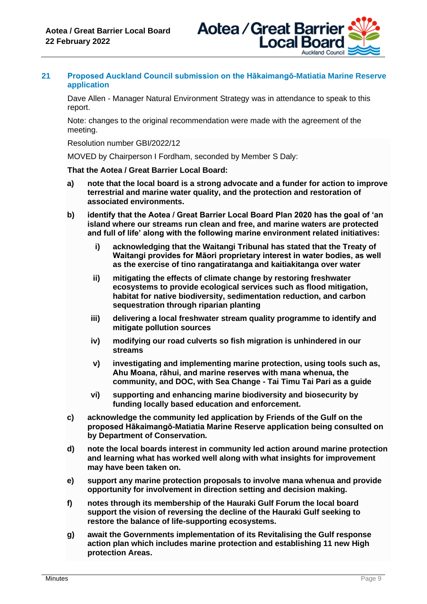

# **21 Proposed Auckland Council submission on the Hākaimangō-Matiatia Marine Reserve application**

Dave Allen - Manager Natural Environment Strategy was in attendance to speak to this report.

Note: changes to the original recommendation were made with the agreement of the meeting.

Resolution number GBI/2022/12

MOVED by Chairperson I Fordham, seconded by Member S Daly:

#### **That the Aotea / Great Barrier Local Board:**

- **a) note that the local board is a strong advocate and a funder for action to improve terrestrial and marine water quality, and the protection and restoration of associated environments.**
- **b) identify that the Aotea / Great Barrier Local Board Plan 2020 has the goal of 'an island where our streams run clean and free, and marine waters are protected and full of life' along with the following marine environment related initiatives:**
	- **i) acknowledging that the Waitangi Tribunal has stated that the Treaty of Waitangi provides for Māori proprietary interest in water bodies, as well as the exercise of tino rangatiratanga and kaitiakitanga over water**
	- **ii) mitigating the effects of climate change by restoring freshwater ecosystems to provide ecological services such as flood mitigation, habitat for native biodiversity, sedimentation reduction, and carbon sequestration through riparian planting**
	- **iii) delivering a local freshwater stream quality programme to identify and mitigate pollution sources**
	- **iv) modifying our road culverts so fish migration is unhindered in our streams**
	- **v) investigating and implementing marine protection, using tools such as, Ahu Moana, rāhui, and marine reserves with mana whenua, the community, and DOC, with Sea Change - Tai Timu Tai Pari as a guide**
	- **vi) supporting and enhancing marine biodiversity and biosecurity by funding locally based education and enforcement.**
- **c) acknowledge the community led application by Friends of the Gulf on the proposed Hākaimangō-Matiatia Marine Reserve application being consulted on by Department of Conservation.**
- **d) note the local boards interest in community led action around marine protection and learning what has worked well along with what insights for improvement may have been taken on.**
- **e) support any marine protection proposals to involve mana whenua and provide opportunity for involvement in direction setting and decision making.**
- **f) notes through its membership of the Hauraki Gulf Forum the local board support the vision of reversing the decline of the Hauraki Gulf seeking to restore the balance of life-supporting ecosystems.**
- **g) await the Governments implementation of its Revitalising the Gulf response action plan which includes marine protection and establishing 11 new High protection Areas.**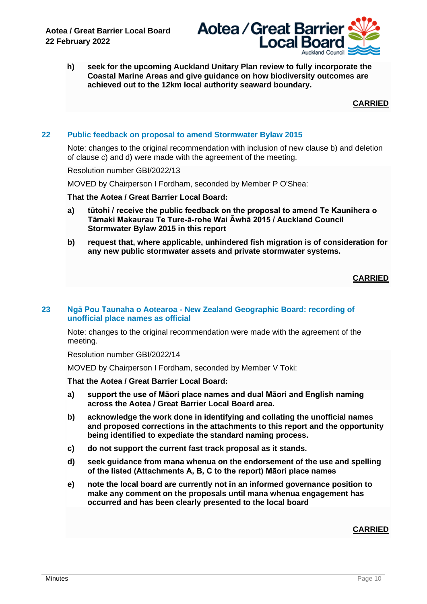

**h) seek for the upcoming Auckland Unitary Plan review to fully incorporate the Coastal Marine Areas and give guidance on how biodiversity outcomes are achieved out to the 12km local authority seaward boundary.**

**CARRIED**

# **22 Public feedback on proposal to amend Stormwater Bylaw 2015**

Note: changes to the original recommendation with inclusion of new clause b) and deletion of clause c) and d) were made with the agreement of the meeting.

Resolution number GBI/2022/13

MOVED by Chairperson I Fordham, seconded by Member P O'Shea:

**That the Aotea / Great Barrier Local Board:**

- **a) tūtohi / receive the public feedback on the proposal to amend Te Kaunihera o Tāmaki Makaurau Te Ture-ā-rohe Wai Āwhā 2015 / Auckland Council Stormwater Bylaw 2015 in this report**
- **b) request that, where applicable, unhindered fish migration is of consideration for any new public stormwater assets and private stormwater systems.**

**CARRIED**

#### **23 Ngā Pou Taunaha o Aotearoa - New Zealand Geographic Board: recording of unofficial place names as official**

Note: changes to the original recommendation were made with the agreement of the meeting.

Resolution number GBI/2022/14

MOVED by Chairperson I Fordham, seconded by Member V Toki:

#### **That the Aotea / Great Barrier Local Board:**

- **a) support the use of Māori place names and dual Māori and English naming across the Aotea / Great Barrier Local Board area.**
- **b) acknowledge the work done in identifying and collating the unofficial names and proposed corrections in the attachments to this report and the opportunity being identified to expediate the standard naming process.**
- **c) do not support the current fast track proposal as it stands.**
- **d) seek guidance from mana whenua on the endorsement of the use and spelling of the listed (Attachments A, B, C to the report) Māori place names**
- **e) note the local board are currently not in an informed governance position to make any comment on the proposals until mana whenua engagement has occurred and has been clearly presented to the local board**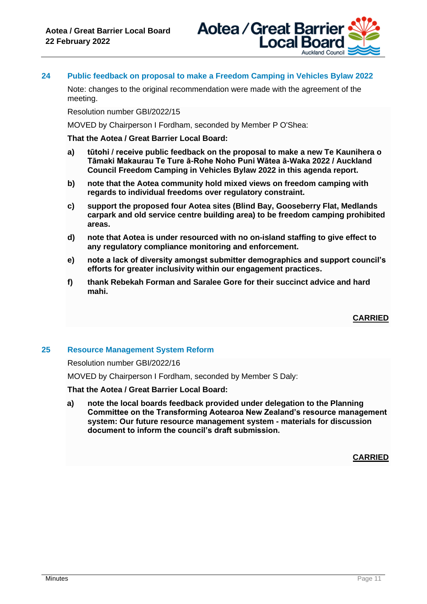

# **24 Public feedback on proposal to make a Freedom Camping in Vehicles Bylaw 2022**

Note: changes to the original recommendation were made with the agreement of the meeting.

Resolution number GBI/2022/15

MOVED by Chairperson I Fordham, seconded by Member P O'Shea:

**That the Aotea / Great Barrier Local Board:**

- **a) tūtohi / receive public feedback on the proposal to make a new Te Kaunihera o Tāmaki Makaurau Te Ture ā-Rohe Noho Puni Wātea ā-Waka 2022 / Auckland Council Freedom Camping in Vehicles Bylaw 2022 in this agenda report.**
- **b) note that the Aotea community hold mixed views on freedom camping with regards to individual freedoms over regulatory constraint.**
- **c) support the proposed four Aotea sites (Blind Bay, Gooseberry Flat, Medlands carpark and old service centre building area) to be freedom camping prohibited areas.**
- **d) note that Aotea is under resourced with no on-island staffing to give effect to any regulatory compliance monitoring and enforcement.**
- **e) note a lack of diversity amongst submitter demographics and support council's efforts for greater inclusivity within our engagement practices.**
- **f) thank Rebekah Forman and Saralee Gore for their succinct advice and hard mahi.**

**CARRIED**

#### **25 Resource Management System Reform**

Resolution number GBI/2022/16

MOVED by Chairperson I Fordham, seconded by Member S Daly:

**That the Aotea / Great Barrier Local Board:**

**a) note the local boards feedback provided under delegation to the Planning Committee on the Transforming Aotearoa New Zealand's resource management system: Our future resource management system - materials for discussion document to inform the council's draft submission.**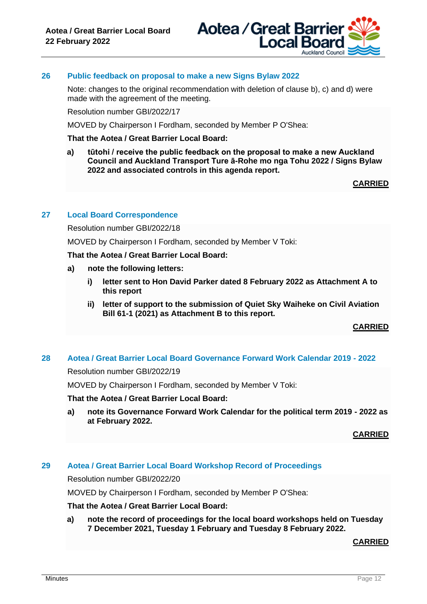

#### **26 Public feedback on proposal to make a new Signs Bylaw 2022**

Note: changes to the original recommendation with deletion of clause b), c) and d) were made with the agreement of the meeting.

Resolution number GBI/2022/17

MOVED by Chairperson I Fordham, seconded by Member P O'Shea:

#### **That the Aotea / Great Barrier Local Board:**

**a) tūtohi / receive the public feedback on the proposal to make a new Auckland Council and Auckland Transport Ture ā-Rohe mo nga Tohu 2022 / Signs Bylaw 2022 and associated controls in this agenda report.** 

**CARRIED**

#### **27 Local Board Correspondence**

Resolution number GBI/2022/18

MOVED by Chairperson I Fordham, seconded by Member V Toki:

**That the Aotea / Great Barrier Local Board:**

- **a) note the following letters:**
	- **i) letter sent to Hon David Parker dated 8 February 2022 as Attachment A to this report**
	- **ii) letter of support to the submission of Quiet Sky Waiheke on Civil Aviation Bill 61-1 (2021) as Attachment B to this report.**

**CARRIED**

#### **28 Aotea / Great Barrier Local Board Governance Forward Work Calendar 2019 - 2022**

Resolution number GBI/2022/19

MOVED by Chairperson I Fordham, seconded by Member V Toki:

**That the Aotea / Great Barrier Local Board:**

**a) note its Governance Forward Work Calendar for the political term 2019 - 2022 as at February 2022.**

**CARRIED**

#### **29 Aotea / Great Barrier Local Board Workshop Record of Proceedings**

Resolution number GBI/2022/20

MOVED by Chairperson I Fordham, seconded by Member P O'Shea:

#### **That the Aotea / Great Barrier Local Board:**

**a) note the record of proceedings for the local board workshops held on Tuesday 7 December 2021, Tuesday 1 February and Tuesday 8 February 2022.**